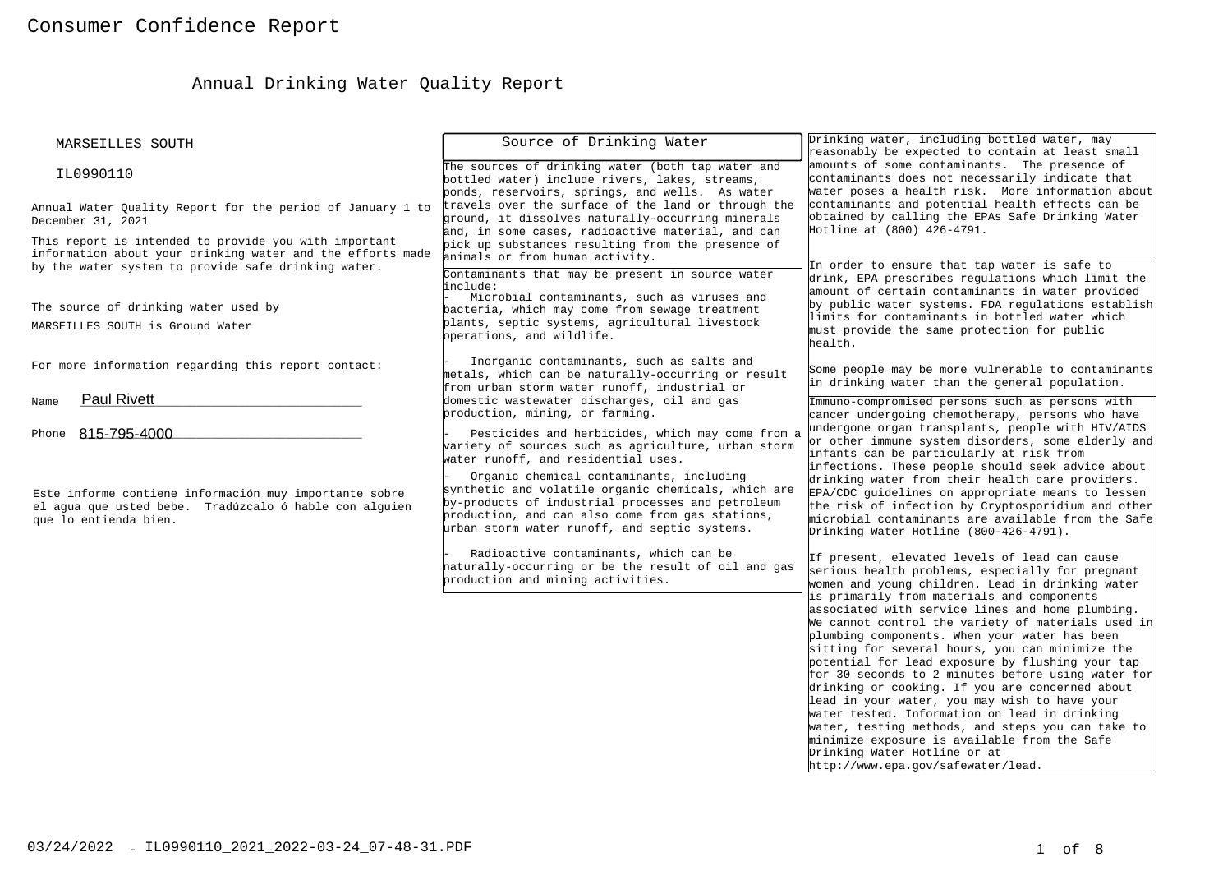# Annual Drinking Water Quality Report

| MARSEILLES SOUTH                                                                                                                                                           | Source of Drinking Water                                                                                                                                                                                                                                                                                                                                                                                    | Drinking water, including bottled water, may<br>reasonably be expected to contain at least small                                                                                                                                                                                                                                                                                                                                                                                                                                                                                                                                                                                                   |
|----------------------------------------------------------------------------------------------------------------------------------------------------------------------------|-------------------------------------------------------------------------------------------------------------------------------------------------------------------------------------------------------------------------------------------------------------------------------------------------------------------------------------------------------------------------------------------------------------|----------------------------------------------------------------------------------------------------------------------------------------------------------------------------------------------------------------------------------------------------------------------------------------------------------------------------------------------------------------------------------------------------------------------------------------------------------------------------------------------------------------------------------------------------------------------------------------------------------------------------------------------------------------------------------------------------|
| IL0990110                                                                                                                                                                  | The sources of drinking water (both tap water and<br>bottled water) include rivers, lakes, streams,<br>ponds, reservoirs, springs, and wells. As water                                                                                                                                                                                                                                                      | amounts of some contaminants. The presence of<br>contaminants does not necessarily indicate that<br>water poses a health risk. More information about                                                                                                                                                                                                                                                                                                                                                                                                                                                                                                                                              |
| Annual Water Quality Report for the period of January 1 to<br>December 31, 2021                                                                                            | travels over the surface of the land or through the<br>ground, it dissolves naturally-occurring minerals<br>and, in some cases, radioactive material, and can                                                                                                                                                                                                                                               | contaminants and potential health effects can be<br>obtained by calling the EPAs Safe Drinking Water<br>Hotline at (800) 426-4791.                                                                                                                                                                                                                                                                                                                                                                                                                                                                                                                                                                 |
| This report is intended to provide you with important<br>information about your drinking water and the efforts made<br>by the water system to provide safe drinking water. | pick up substances resulting from the presence of<br>animals or from human activity.                                                                                                                                                                                                                                                                                                                        | In order to ensure that tap water is safe to                                                                                                                                                                                                                                                                                                                                                                                                                                                                                                                                                                                                                                                       |
| The source of drinking water used by<br>MARSEILLES SOUTH is Ground Water                                                                                                   | Contaminants that may be present in source water<br>include:<br>Microbial contaminants, such as viruses and<br>bacteria, which may come from sewage treatment<br>plants, septic systems, agricultural livestock<br>operations, and wildlife.                                                                                                                                                                | drink, EPA prescribes regulations which limit the<br>amount of certain contaminants in water provided<br>by public water systems. FDA regulations establish<br>limits for contaminants in bottled water which<br>must provide the same protection for public<br>health.                                                                                                                                                                                                                                                                                                                                                                                                                            |
| For more information regarding this report contact:                                                                                                                        | Inorganic contaminants, such as salts and<br>metals, which can be naturally-occurring or result<br>from urban storm water runoff, industrial or                                                                                                                                                                                                                                                             | Some people may be more vulnerable to contaminants<br>in drinking water than the general population.                                                                                                                                                                                                                                                                                                                                                                                                                                                                                                                                                                                               |
| <b>Paul Rivett</b><br>Name                                                                                                                                                 | domestic wastewater discharges, oil and gas<br>production, mining, or farming.                                                                                                                                                                                                                                                                                                                              | Immuno-compromised persons such as persons with<br>cancer undergoing chemotherapy, persons who have                                                                                                                                                                                                                                                                                                                                                                                                                                                                                                                                                                                                |
| Phone 815-795-4000<br>Este informe contiene información muy importante sobre<br>el aqua que usted bebe. Tradúzcalo ó hable con alquien<br>que lo entienda bien.            | Pesticides and herbicides, which may come from a<br>variety of sources such as agriculture, urban storm<br>water runoff, and residential uses.<br>Organic chemical contaminants, including<br>synthetic and volatile organic chemicals, which are<br>by-products of industrial processes and petroleum<br>production, and can also come from gas stations,<br>urban storm water runoff, and septic systems. | undergone organ transplants, people with HIV/AIDS<br>or other immune system disorders, some elderly and<br>infants can be particularly at risk from<br>infections. These people should seek advice about<br>drinking water from their health care providers.<br>EPA/CDC guidelines on appropriate means to lessen<br>the risk of infection by Cryptosporidium and other<br>microbial contaminants are available from the Safe<br>Drinking Water Hotline (800-426-4791).                                                                                                                                                                                                                            |
|                                                                                                                                                                            | Radioactive contaminants, which can be<br>haturally-occurring or be the result of oil and gas<br>production and mining activities.                                                                                                                                                                                                                                                                          | If present, elevated levels of lead can cause<br>serious health problems, especially for pregnant<br>women and young children. Lead in drinking water                                                                                                                                                                                                                                                                                                                                                                                                                                                                                                                                              |
|                                                                                                                                                                            |                                                                                                                                                                                                                                                                                                                                                                                                             | is primarily from materials and components<br>associated with service lines and home plumbing.<br>We cannot control the variety of materials used in<br>plumbing components. When your water has been<br>sitting for several hours, you can minimize the<br>potential for lead exposure by flushing your tap<br>for 30 seconds to 2 minutes before using water for<br>drinking or cooking. If you are concerned about<br>lead in your water, you may wish to have your<br>water tested. Information on lead in drinking<br>water, testing methods, and steps you can take to<br>minimize exposure is available from the Safe<br>Drinking Water Hotline or at<br>http://www.epa.gov/safewater/lead. |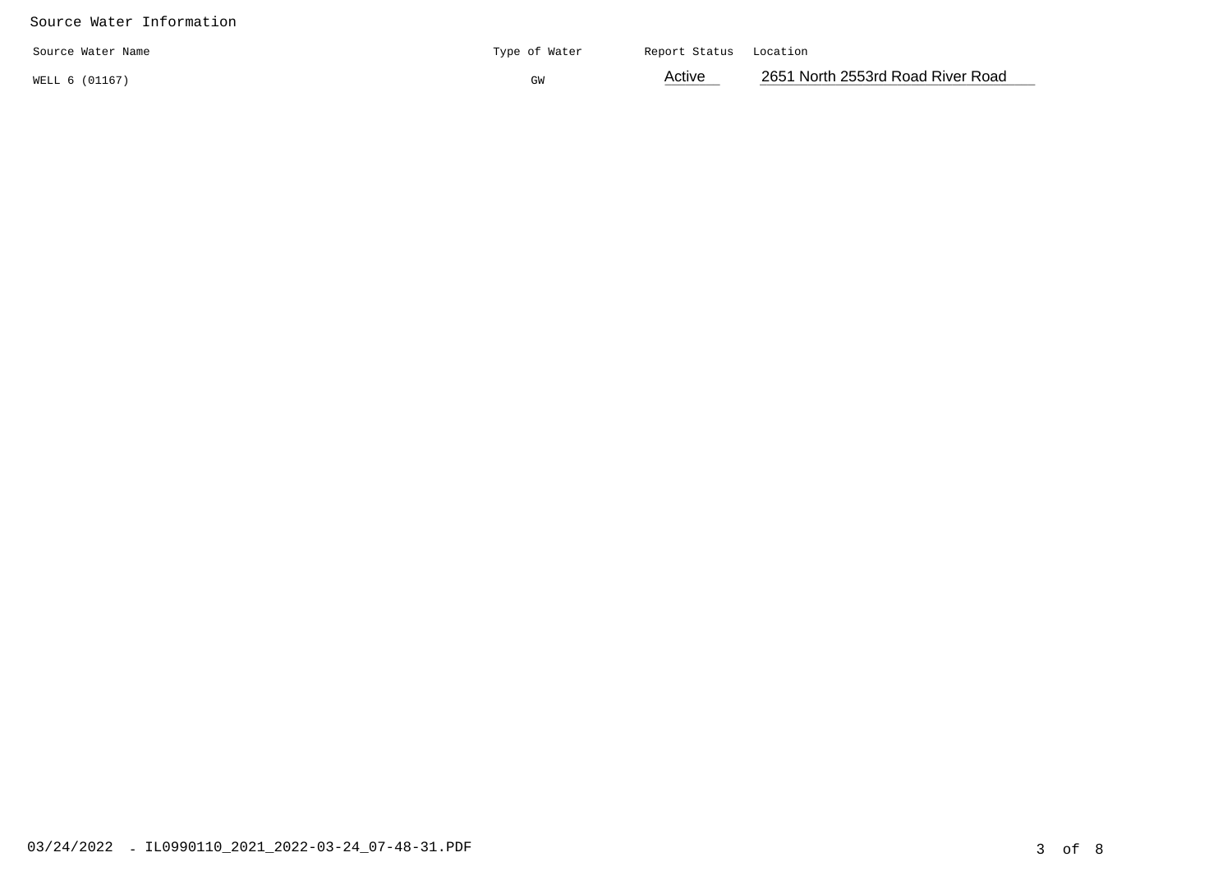#### Source Water Information

| Source Water Name | Type of Water | Report Status Location |                                   |
|-------------------|---------------|------------------------|-----------------------------------|
| WELL 6 (01167)    | ЭW            | Active                 | 2651 North 2553rd Road River Road |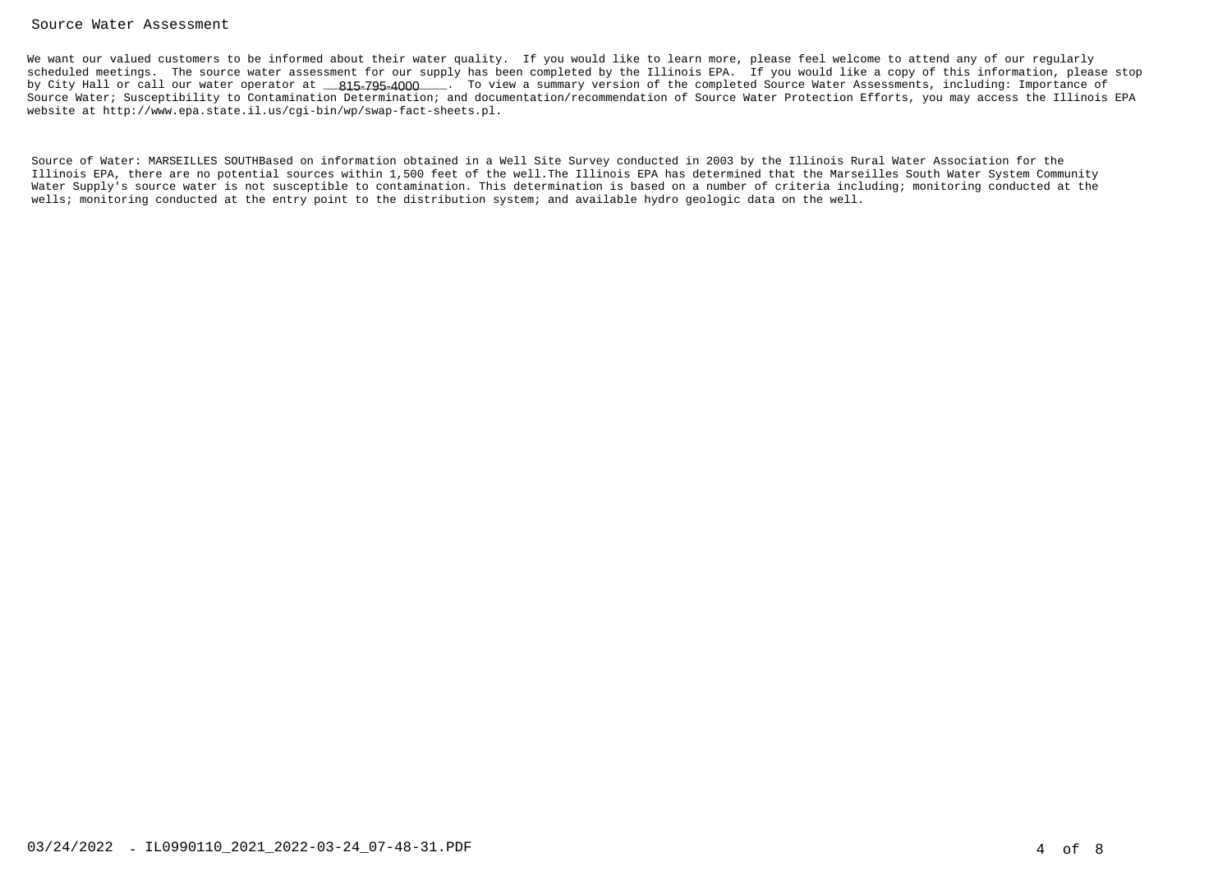#### Source Water Assessment

We want our valued customers to be informed about their water quality. If you would like to learn more, please feel welcome to attend any of our regularly scheduled meetings. The source water assessment for our supply has been completed by the Illinois EPA. If you would like a copy of this information, please stopby City Hall or call our water operator at \_\_\_\_\_\_\_\_\_\_\_\_\_\_\_\_\_\_. To view a summary version of the completed Source Water Assessments, including: Importance of815-795-4000 Source Water; Susceptibility to Contamination Determination; and documentation/recommendation of Source Water Protection Efforts, you may access the Illinois EPAwebsite at http://www.epa.state.il.us/cgi-bin/wp/swap-fact-sheets.pl.

Source of Water: MARSEILLES SOUTHBased on information obtained in a Well Site Survey conducted in 2003 by the Illinois Rural Water Association for the Illinois EPA, there are no potential sources within 1,500 feet of the well.The Illinois EPA has determined that the Marseilles South Water System Community Water Supply's source water is not susceptible to contamination. This determination is based on a number of criteria including; monitoring conducted at thewells; monitoring conducted at the entry point to the distribution system; and available hydro geologic data on the well.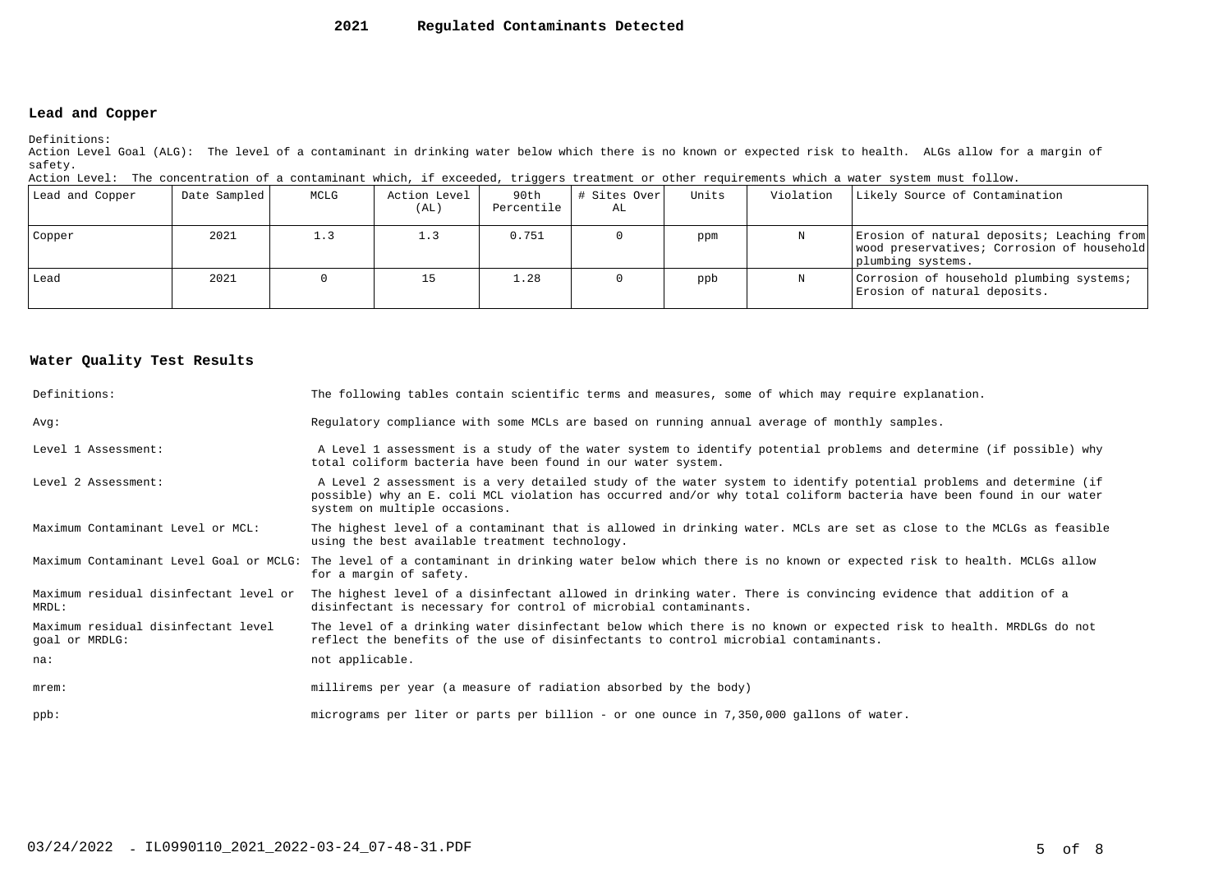#### **2021Regulated Contaminants Detected**

### **Lead and Copper**

Definitions:

 Action Level Goal (ALG): The level of a contaminant in drinking water below which there is no known or expected risk to health. ALGs allow for a margin ofsafety.

| Action Level: The concentration of a contaminant which, if exceeded, triggers treatment or other requirements which a water system must follow. |  |  |  |
|-------------------------------------------------------------------------------------------------------------------------------------------------|--|--|--|
|                                                                                                                                                 |  |  |  |

| Lead and Copper | Date Sampled | MCLG | Action Level<br>(AL) | 90th<br>Percentile | # Sites Over <br>AL | Units | Violation | Likely Source of Contamination                                                                                |
|-----------------|--------------|------|----------------------|--------------------|---------------------|-------|-----------|---------------------------------------------------------------------------------------------------------------|
| Copper          | 2021         |      |                      | 0.751              |                     | ppm   |           | Erosion of natural deposits; Leaching from<br>wood preservatives; Corrosion of household<br>plumbing systems. |
| Lead            | 2021         |      |                      | 1.28               |                     | ppb   | N         | Corrosion of household plumbing systems;<br>Erosion of natural deposits.                                      |

#### **Water Quality Test Results**

| Definitions:                                          | The following tables contain scientific terms and measures, some of which may require explanation.                                                                                                                                                                         |
|-------------------------------------------------------|----------------------------------------------------------------------------------------------------------------------------------------------------------------------------------------------------------------------------------------------------------------------------|
| Avq:                                                  | Regulatory compliance with some MCLs are based on running annual average of monthly samples.                                                                                                                                                                               |
| Level 1 Assessment:                                   | A Level 1 assessment is a study of the water system to identify potential problems and determine (if possible) why<br>total coliform bacteria have been found in our water system.                                                                                         |
| Level 2 Assessment:                                   | A Level 2 assessment is a very detailed study of the water system to identify potential problems and determine (if<br>possible) why an E. coli MCL violation has occurred and/or why total coliform bacteria have been found in our water<br>system on multiple occasions. |
| Maximum Contaminant Level or MCL:                     | The highest level of a contaminant that is allowed in drinking water. MCLs are set as close to the MCLGs as feasible<br>using the best available treatment technology.                                                                                                     |
|                                                       | Maximum Contaminant Level Goal or MCLG: The level of a contaminant in drinking water below which there is no known or expected risk to health. MCLGs allow<br>for a margin of safety.                                                                                      |
| Maximum residual disinfectant level or<br>MRDL:       | The highest level of a disinfectant allowed in drinking water. There is convincing evidence that addition of a<br>disinfectant is necessary for control of microbial contaminants.                                                                                         |
| Maximum residual disinfectant level<br>goal or MRDLG: | The level of a drinking water disinfectant below which there is no known or expected risk to health. MRDLGs do not<br>reflect the benefits of the use of disinfectants to control microbial contaminants.                                                                  |
| na:                                                   | not applicable.                                                                                                                                                                                                                                                            |
| $m$ rem:                                              | millirems per year (a measure of radiation absorbed by the body)                                                                                                                                                                                                           |
| $ppb$ :                                               | micrograms per liter or parts per billion - or one ounce in 7,350,000 gallons of water.                                                                                                                                                                                    |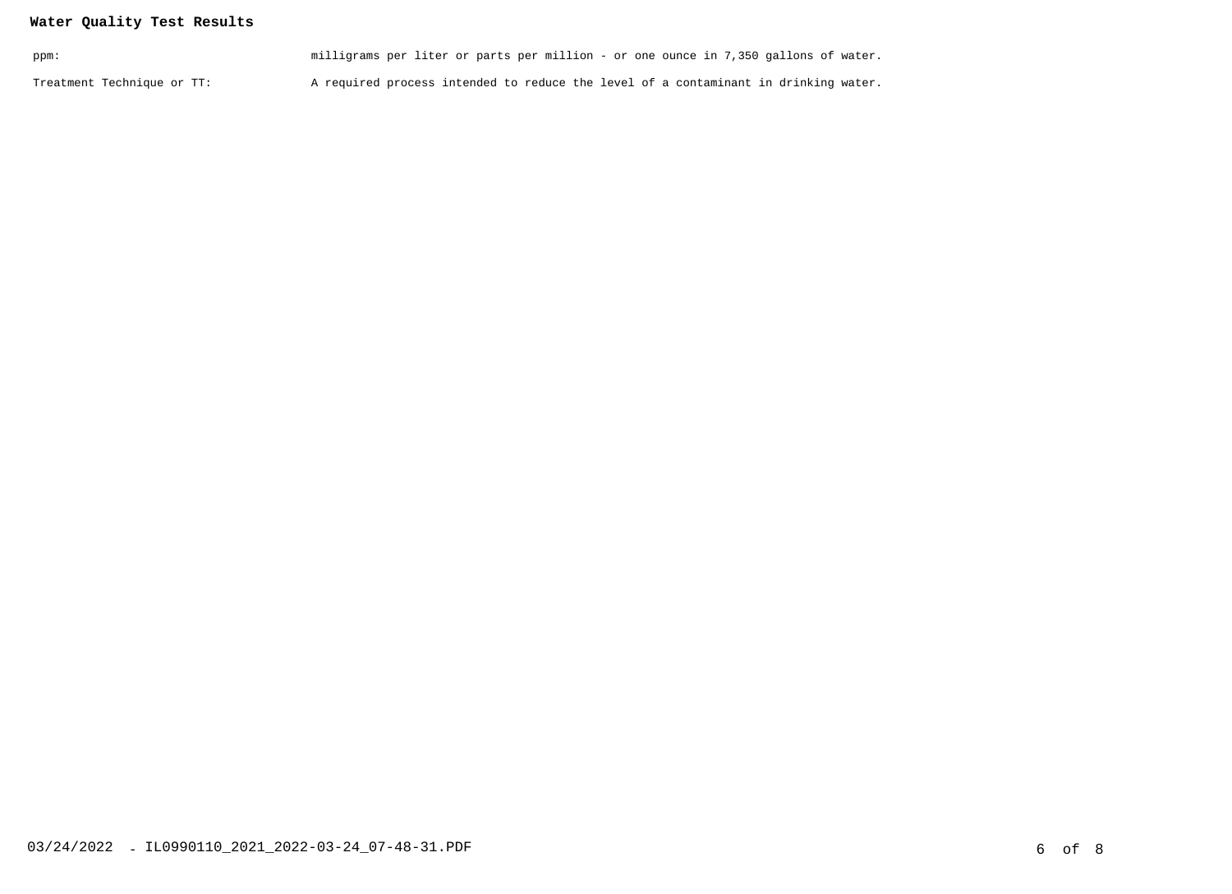## **Water Quality Test Results**

| ppm:                       | milligrams per liter or parts per million - or one ounce in 7,350 gallons of water. |  |
|----------------------------|-------------------------------------------------------------------------------------|--|
| Treatment Technique or TT: | A required process intended to reduce the level of a contaminant in drinking water. |  |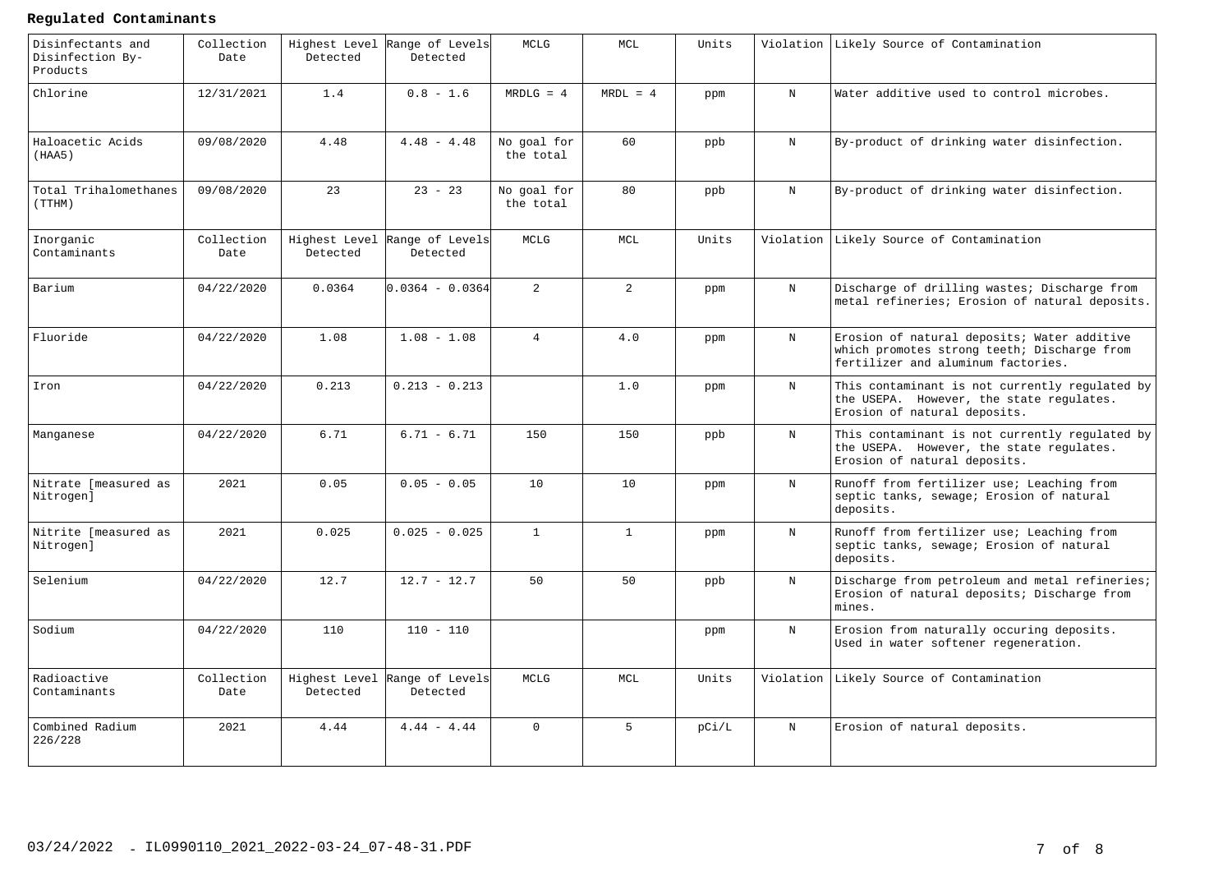#### **Regulated Contaminants**

| Disinfectants and<br>Disinfection By-<br>Products | Collection<br>Date | Highest Level<br>Detected | Range of Levels<br>Detected | <b>MCLG</b>              | MCL            | Units |             | Violation Likely Source of Contamination                                                                                         |
|---------------------------------------------------|--------------------|---------------------------|-----------------------------|--------------------------|----------------|-------|-------------|----------------------------------------------------------------------------------------------------------------------------------|
| Chlorine                                          | 12/31/2021         | 1.4                       | $0.8 - 1.6$                 | $MRDLG = 4$              | $MRDL = 4$     | ppm   | N           | Water additive used to control microbes.                                                                                         |
| Haloacetic Acids<br>(HAA5)                        | 09/08/2020         | 4.48                      | $4.48 - 4.48$               | No goal for<br>the total | 60             | ppb   | N           | By-product of drinking water disinfection.                                                                                       |
| Total Trihalomethanes<br>(TTHM)                   | 09/08/2020         | 23                        | $23 - 23$                   | No goal for<br>the total | 80             | ppb   | N           | By-product of drinking water disinfection.                                                                                       |
| Inorganic<br>Contaminants                         | Collection<br>Date | Highest Level<br>Detected | Range of Levels<br>Detected | MCLG                     | MCL            | Units | Violation   | Likely Source of Contamination                                                                                                   |
| Barium                                            | 04/22/2020         | 0.0364                    | $0.0364 - 0.0364$           | $\overline{2}$           | $\overline{a}$ | ppm   | N           | Discharge of drilling wastes; Discharge from<br>metal refineries; Erosion of natural deposits.                                   |
| Fluoride                                          | 04/22/2020         | 1.08                      | $1.08 - 1.08$               | $\overline{4}$           | 4.0            | ppm   | $_{\rm N}$  | Erosion of natural deposits; Water additive<br>which promotes strong teeth; Discharge from<br>fertilizer and aluminum factories. |
| Iron                                              | 04/22/2020         | 0.213                     | $0.213 - 0.213$             |                          | 1.0            | ppm   | $\mathbf N$ | This contaminant is not currently regulated by<br>the USEPA. However, the state regulates.<br>Erosion of natural deposits.       |
| Manganese                                         | 04/22/2020         | 6.71                      | $6.71 - 6.71$               | 150                      | 150            | ppb   | $_{\rm N}$  | This contaminant is not currently regulated by<br>the USEPA. However, the state regulates.<br>Erosion of natural deposits.       |
| Nitrate [measured as<br>Nitrogen]                 | 2021               | 0.05                      | $0.05 - 0.05$               | 10                       | 10             | ppm   | $_{\rm N}$  | Runoff from fertilizer use; Leaching from<br>septic tanks, sewage; Erosion of natural<br>deposits.                               |
| Nitrite [measured as<br>Nitrogen]                 | 2021               | 0.025                     | $0.025 - 0.025$             | $\mathbf{1}$             | $\mathbf{1}$   | ppm   | $_{\rm N}$  | Runoff from fertilizer use; Leaching from<br>septic tanks, sewage; Erosion of natural<br>deposits.                               |
| Selenium                                          | 04/22/2020         | 12.7                      | $12.7 - 12.7$               | 50                       | 50             | ppb   | N           | Discharge from petroleum and metal refineries;<br>Erosion of natural deposits; Discharge from<br>mines.                          |
| Sodium                                            | 04/22/2020         | 110                       | $110 - 110$                 |                          |                | ppm   | $\mathbf N$ | Erosion from naturally occuring deposits.<br>Used in water softener regeneration.                                                |
| Radioactive<br>Contaminants                       | Collection<br>Date | Highest Level<br>Detected | Range of Levels<br>Detected | MCLG                     | MCL            | Units | Violation   | Likely Source of Contamination                                                                                                   |
| Combined Radium<br>226/228                        | 2021               | 4.44                      | $4.44 - 4.44$               | $\Omega$                 | 5 <sup>1</sup> | pC1/L | $_{\rm N}$  | Erosion of natural deposits.                                                                                                     |